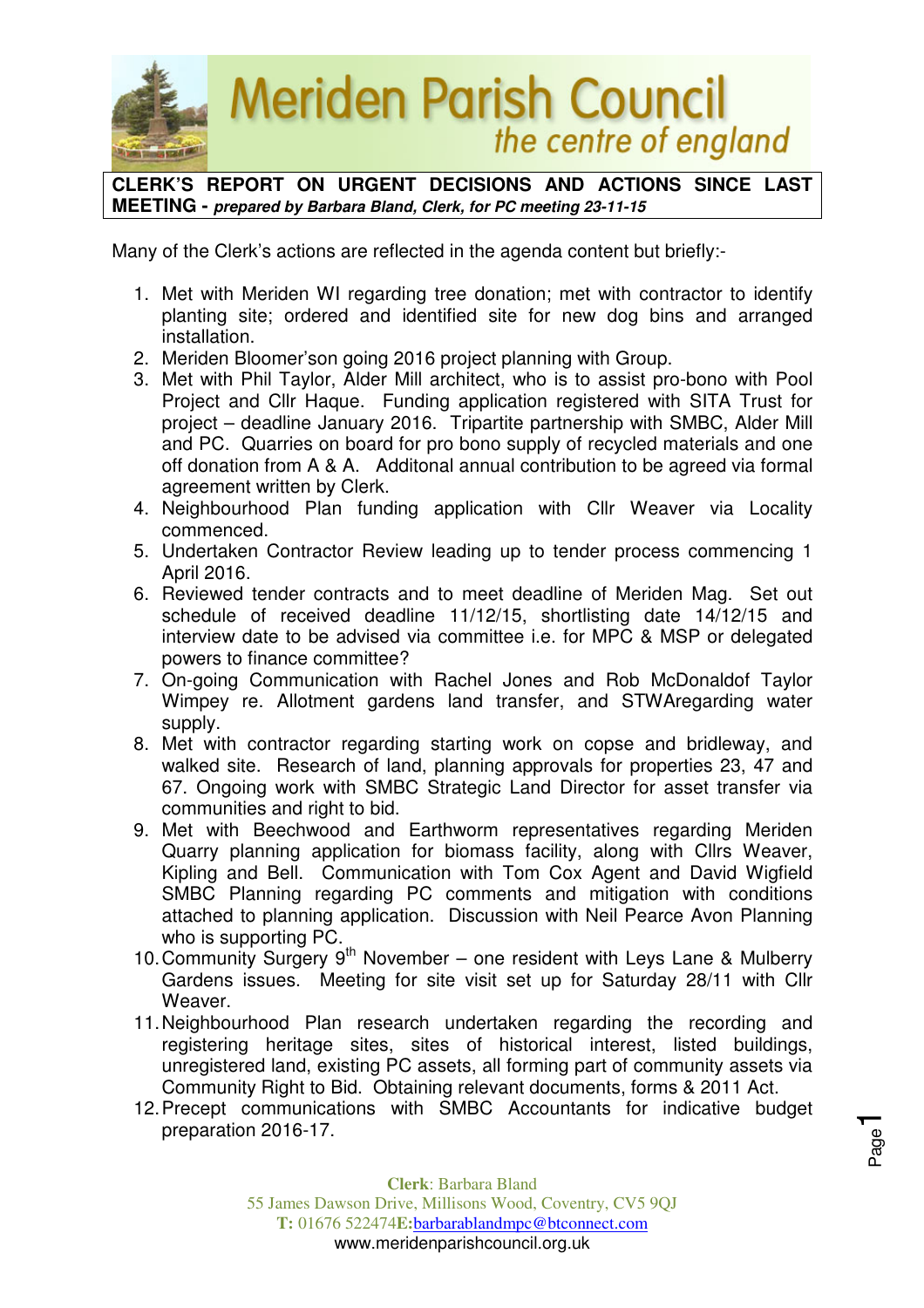

**CLERK'S REPORT ON URGENT DECISIONS AND ACTIONS SINCE LAST MEETING - prepared by Barbara Bland, Clerk, for PC meeting 23-11-15** 

Many of the Clerk's actions are reflected in the agenda content but briefly:-

- 1. Met with Meriden WI regarding tree donation; met with contractor to identify planting site; ordered and identified site for new dog bins and arranged installation.
- 2. Meriden Bloomer'son going 2016 project planning with Group.
- 3. Met with Phil Taylor, Alder Mill architect, who is to assist pro-bono with Pool Project and Cllr Haque. Funding application registered with SITA Trust for project – deadline January 2016. Tripartite partnership with SMBC, Alder Mill and PC. Quarries on board for pro bono supply of recycled materials and one off donation from A & A. Additonal annual contribution to be agreed via formal agreement written by Clerk.
- 4. Neighbourhood Plan funding application with Cllr Weaver via Locality commenced.
- 5. Undertaken Contractor Review leading up to tender process commencing 1 April 2016.
- 6. Reviewed tender contracts and to meet deadline of Meriden Mag. Set out schedule of received deadline 11/12/15, shortlisting date 14/12/15 and interview date to be advised via committee i.e. for MPC & MSP or delegated powers to finance committee?
- 7. On-going Communication with Rachel Jones and Rob McDonaldof Taylor Wimpey re. Allotment gardens land transfer, and STWAregarding water supply.
- 8. Met with contractor regarding starting work on copse and bridleway, and walked site. Research of land, planning approvals for properties 23, 47 and 67. Ongoing work with SMBC Strategic Land Director for asset transfer via communities and right to bid.
- 9. Met with Beechwood and Earthworm representatives regarding Meriden Quarry planning application for biomass facility, along with Cllrs Weaver, Kipling and Bell. Communication with Tom Cox Agent and David Wigfield SMBC Planning regarding PC comments and mitigation with conditions attached to planning application. Discussion with Neil Pearce Avon Planning who is supporting PC.
- 10. Community Surgery 9th November one resident with Leys Lane & Mulberry Gardens issues. Meeting for site visit set up for Saturday 28/11 with Cllr Weaver.
- 11. Neighbourhood Plan research undertaken regarding the recording and registering heritage sites, sites of historical interest, listed buildings, unregistered land, existing PC assets, all forming part of community assets via Community Right to Bid. Obtaining relevant documents, forms & 2011 Act.
- 12. Precept communications with SMBC Accountants for indicative budget preparation 2016-17.